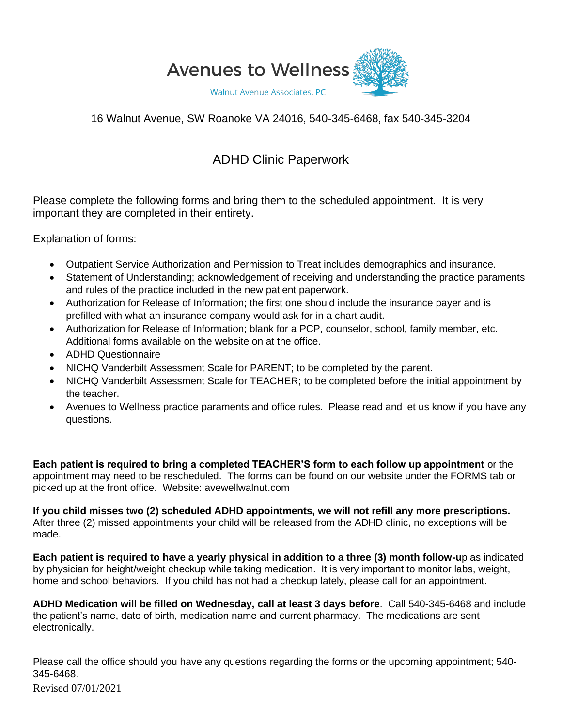

## 16 Walnut Avenue, SW Roanoke VA 24016, 540-345-6468, fax 540-345-3204

## ADHD Clinic Paperwork

Please complete the following forms and bring them to the scheduled appointment. It is very important they are completed in their entirety.

Explanation of forms:

- Outpatient Service Authorization and Permission to Treat includes demographics and insurance.
- Statement of Understanding; acknowledgement of receiving and understanding the practice paraments and rules of the practice included in the new patient paperwork.
- Authorization for Release of Information; the first one should include the insurance payer and is prefilled with what an insurance company would ask for in a chart audit.
- Authorization for Release of Information; blank for a PCP, counselor, school, family member, etc. Additional forms available on the website on at the office.
- ADHD Questionnaire
- NICHQ Vanderbilt Assessment Scale for PARENT; to be completed by the parent.
- NICHQ Vanderbilt Assessment Scale for TEACHER; to be completed before the initial appointment by the teacher.
- Avenues to Wellness practice paraments and office rules. Please read and let us know if you have any questions.

**Each patient is required to bring a completed TEACHER'S form to each follow up appointment** or the appointment may need to be rescheduled. The forms can be found on our website under the FORMS tab or picked up at the front office. Website: avewellwalnut.com

**If you child misses two (2) scheduled ADHD appointments, we will not refill any more prescriptions.** After three (2) missed appointments your child will be released from the ADHD clinic, no exceptions will be made.

**Each patient is required to have a yearly physical in addition to a three (3) month follow-u**p as indicated by physician for height/weight checkup while taking medication. It is very important to monitor labs, weight, home and school behaviors. If you child has not had a checkup lately, please call for an appointment.

**ADHD Medication will be filled on Wednesday, call at least 3 days before**. Call 540-345-6468 and include the patient's name, date of birth, medication name and current pharmacy. The medications are sent electronically.

Please call the office should you have any questions regarding the forms or the upcoming appointment; 540- 345-6468.

Revised 07/01/2021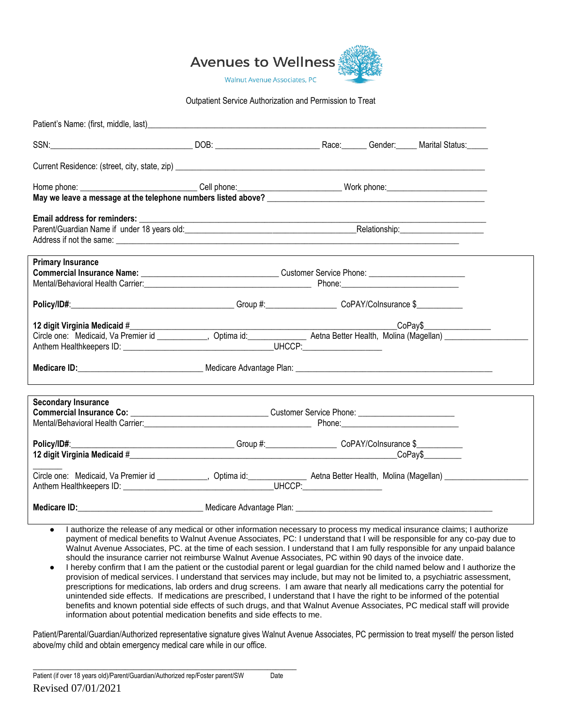

#### Outpatient Service Authorization and Permission to Treat

| Patient's Name: (first, middle, last)_                                                                                                                                                                                         |                                                                                         |  |  |
|--------------------------------------------------------------------------------------------------------------------------------------------------------------------------------------------------------------------------------|-----------------------------------------------------------------------------------------|--|--|
| SSN:                                                                                                                                                                                                                           |                                                                                         |  |  |
|                                                                                                                                                                                                                                |                                                                                         |  |  |
|                                                                                                                                                                                                                                |                                                                                         |  |  |
|                                                                                                                                                                                                                                |                                                                                         |  |  |
|                                                                                                                                                                                                                                |                                                                                         |  |  |
|                                                                                                                                                                                                                                |                                                                                         |  |  |
| <b>Primary Insurance</b>                                                                                                                                                                                                       |                                                                                         |  |  |
|                                                                                                                                                                                                                                |                                                                                         |  |  |
| Mental/Behavioral Health Carrier: Northern Communication of the Communication of the Communication of the Communication of the Communication of the Communication of the Communication of the Communication of the Communicati |                                                                                         |  |  |
|                                                                                                                                                                                                                                |                                                                                         |  |  |
| 12 digit Virginia Medicaid #                                                                                                                                                                                                   |                                                                                         |  |  |
| Circle one: Medicaid, Va Premier id ___________, Optima id: _____________ Aetna Better Health, Molina (Magellan) __________                                                                                                    |                                                                                         |  |  |
|                                                                                                                                                                                                                                |                                                                                         |  |  |
|                                                                                                                                                                                                                                |                                                                                         |  |  |
| <b>Secondary Insurance</b>                                                                                                                                                                                                     |                                                                                         |  |  |
|                                                                                                                                                                                                                                |                                                                                         |  |  |
|                                                                                                                                                                                                                                |                                                                                         |  |  |
| Policy/ID#:                                                                                                                                                                                                                    | __________________________Group #:______________________CoPAY/Colnsurance \$___________ |  |  |
|                                                                                                                                                                                                                                |                                                                                         |  |  |
|                                                                                                                                                                                                                                |                                                                                         |  |  |
|                                                                                                                                                                                                                                |                                                                                         |  |  |

- I authorize the release of any medical or other information necessary to process my medical insurance claims; I authorize payment of medical benefits to Walnut Avenue Associates, PC: I understand that I will be responsible for any co-pay due to Walnut Avenue Associates, PC. at the time of each session. I understand that I am fully responsible for any unpaid balance should the insurance carrier not reimburse Walnut Avenue Associates, PC within 90 days of the invoice date.
- I hereby confirm that I am the patient or the custodial parent or legal guardian for the child named below and I authorize the provision of medical services. I understand that services may include, but may not be limited to, a psychiatric assessment, prescriptions for medications, lab orders and drug screens. I am aware that nearly all medications carry the potential for unintended side effects. If medications are prescribed, I understand that I have the right to be informed of the potential benefits and known potential side effects of such drugs, and that Walnut Avenue Associates, PC medical staff will provide information about potential medication benefits and side effects to me.

Patient/Parental/Guardian/Authorized representative signature gives Walnut Avenue Associates, PC permission to treat myself/ the person listed above/my child and obtain emergency medical care while in our office.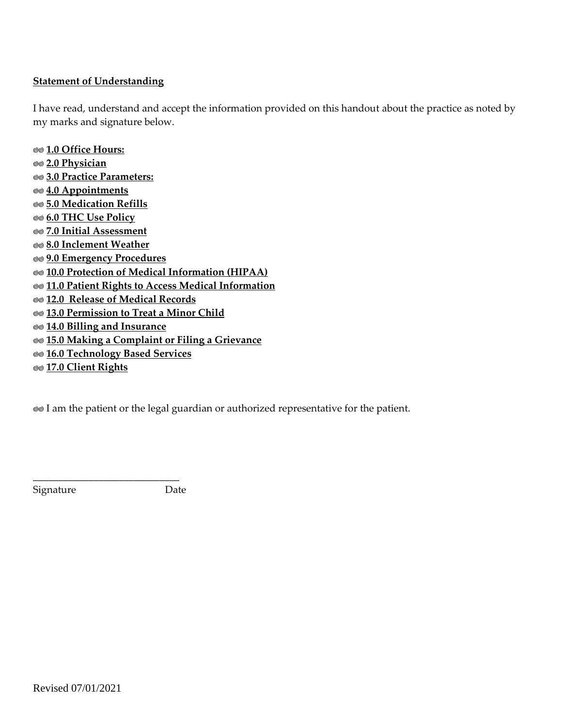## **Statement of Understanding**

I have read, understand and accept the information provided on this handout about the practice as noted by my marks and signature below.

**1.0 Office Hours: 2.0 Physician 3.0 Practice Parameters: 4.0 Appointments 5.0 Medication Refills 6.0 THC Use Policy 7.0 Initial Assessment 8.0 Inclement Weather 9.0 Emergency Procedures 10.0 Protection of Medical Information (HIPAA) 11.0 Patient Rights to Access Medical Information 12.0 Release of Medical Records 13.0 Permission to Treat a Minor Child 14.0 Billing and Insurance 15.0 Making a Complaint or Filing a Grievance 16.0 Technology Based Services 17.0 Client Rights**

**I** am the patient or the legal guardian or authorized representative for the patient.

Signature Date

\_\_\_\_\_\_\_\_\_\_\_\_\_\_\_\_\_\_\_\_\_\_\_\_\_\_\_\_\_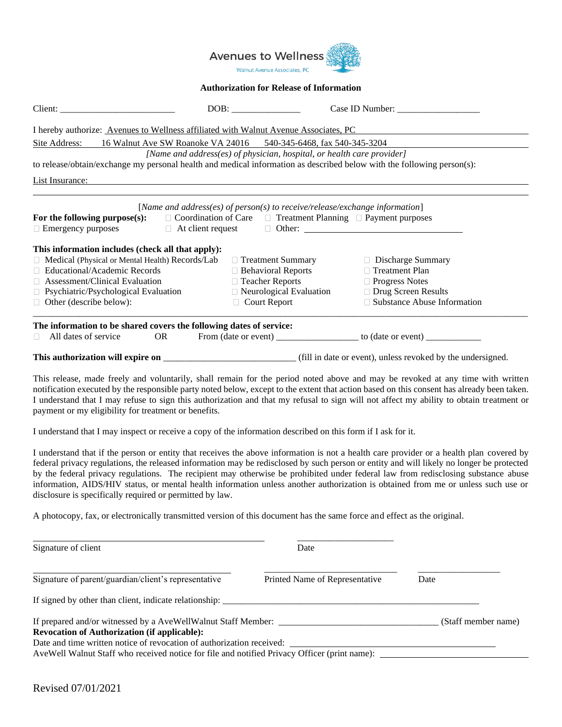

#### **Authorization for Release of Information**

|                                                                                                                                                                                                                                             |    |                                                                             | Case ID Number:                                                                  |  |  |
|---------------------------------------------------------------------------------------------------------------------------------------------------------------------------------------------------------------------------------------------|----|-----------------------------------------------------------------------------|----------------------------------------------------------------------------------|--|--|
| I hereby authorize: Avenues to Wellness affiliated with Walnut Avenue Associates, PC                                                                                                                                                        |    |                                                                             |                                                                                  |  |  |
| Site Address:<br>16 Walnut Ave SW Roanoke VA 24016 540-345-6468, fax 540-345-3204                                                                                                                                                           |    |                                                                             |                                                                                  |  |  |
|                                                                                                                                                                                                                                             |    | [Name and address(es) of physician, hospital, or health care provider]      |                                                                                  |  |  |
| to release/obtain/exchange my personal health and medical information as described below with the following person(s):                                                                                                                      |    |                                                                             |                                                                                  |  |  |
| List Insurance:                                                                                                                                                                                                                             |    |                                                                             |                                                                                  |  |  |
| For the following purpose(s): $\Box$ Coordination of Care $\Box$ Treatment Planning $\Box$ Payment purposes<br>$\Box$ Emergency purposes $\Box$ At client request $\Box$ Other: $\Box$<br>This information includes (check all that apply): |    | [Name and address(es) of person(s) to receive/release/exchange information] |                                                                                  |  |  |
| $\Box$ Medical (Physical or Mental Health) Records/Lab                                                                                                                                                                                      |    | $\Box$ Treatment Summary                                                    | $\Box$ Discharge Summary                                                         |  |  |
| $\Box$ Educational/Academic Records                                                                                                                                                                                                         |    | $\Box$ Behavioral Reports                                                   | □ Treatment Plan                                                                 |  |  |
| $\Box$ Assessment/Clinical Evaluation                                                                                                                                                                                                       |    | □ Teacher Reports                                                           | $\Box$ Progress Notes                                                            |  |  |
| $\Box$ Psychiatric/Psychological Evaluation                                                                                                                                                                                                 |    | $\Box$ Neurological Evaluation                                              | □ Drug Screen Results                                                            |  |  |
| $\Box$ Other (describe below):                                                                                                                                                                                                              |    | $\Box$ Court Report                                                         | □ Substance Abuse Information                                                    |  |  |
| The information to be shared covers the following dates of service:                                                                                                                                                                         |    |                                                                             |                                                                                  |  |  |
| All dates of service<br>H.                                                                                                                                                                                                                  | OR |                                                                             | From (date or event) ________________________ to (date or event) _______________ |  |  |
| This authorization will expire on                                                                                                                                                                                                           |    |                                                                             | (fill in date or event), unless revoked by the undersigned.                      |  |  |

This release, made freely and voluntarily, shall remain for the period noted above and may be revoked at any time with written notification executed by the responsible party noted below, except to the extent that action based on this consent has already been taken. I understand that I may refuse to sign this authorization and that my refusal to sign will not affect my ability to obtain treatment or payment or my eligibility for treatment or benefits.

I understand that I may inspect or receive a copy of the information described on this form if I ask for it.

I understand that if the person or entity that receives the above information is not a health care provider or a health plan covered by federal privacy regulations, the released information may be redisclosed by such person or entity and will likely no longer be protected by the federal privacy regulations. The recipient may otherwise be prohibited under federal law from redisclosing substance abuse information, AIDS/HIV status, or mental health information unless another authorization is obtained from me or unless such use or disclosure is specifically required or permitted by law.

A photocopy, fax, or electronically transmitted version of this document has the same force and effect as the original.

| Signature of client                                                                                                                                                   | Date                           |                     |
|-----------------------------------------------------------------------------------------------------------------------------------------------------------------------|--------------------------------|---------------------|
| Signature of parent/guardian/client's representative                                                                                                                  | Printed Name of Representative | Date                |
| If signed by other than client, indicate relationship:                                                                                                                |                                |                     |
| If prepared and/or witnessed by a AveWellWalnut Staff Member:<br><b>Revocation of Authorization (if applicable):</b>                                                  |                                | (Staff member name) |
| Date and time written notice of revocation of authorization received:<br>AveWell Walnut Staff who received notice for file and notified Privacy Officer (print name): |                                |                     |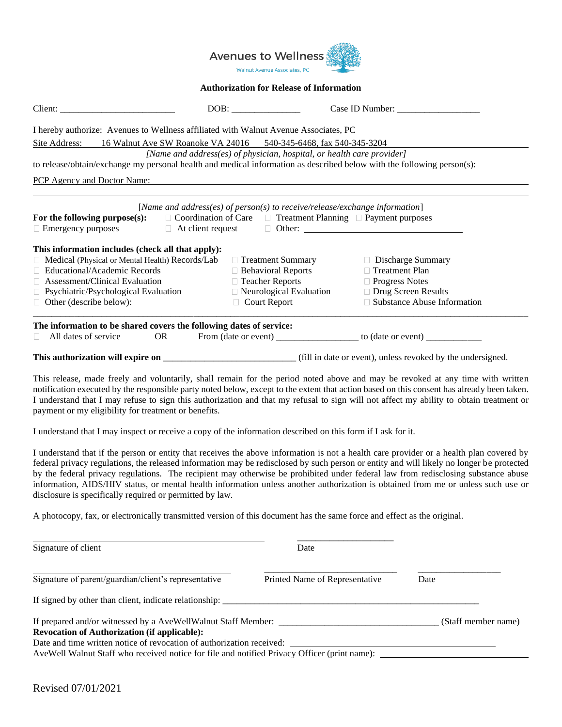

#### **Authorization for Release of Information**

| I hereby authorize: Avenues to Wellness affiliated with Walnut Avenue Associates, PC                                                                                                                                                        |                                                                  |                                                                             |                                                                                  |  |  |  |
|---------------------------------------------------------------------------------------------------------------------------------------------------------------------------------------------------------------------------------------------|------------------------------------------------------------------|-----------------------------------------------------------------------------|----------------------------------------------------------------------------------|--|--|--|
| Site Address:                                                                                                                                                                                                                               | 16 Walnut Ave SW Roanoke VA 24016 540-345-6468, fax 540-345-3204 |                                                                             |                                                                                  |  |  |  |
|                                                                                                                                                                                                                                             |                                                                  | [Name and address(es) of physician, hospital, or health care provider]      |                                                                                  |  |  |  |
| to release/obtain/exchange my personal health and medical information as described below with the following person(s):                                                                                                                      |                                                                  |                                                                             |                                                                                  |  |  |  |
| <b>PCP</b> Agency and Doctor Name:                                                                                                                                                                                                          |                                                                  |                                                                             |                                                                                  |  |  |  |
| For the following purpose(s): $\Box$ Coordination of Care $\Box$ Treatment Planning $\Box$ Payment purposes<br>$\Box$ Emergency purposes $\Box$ At client request $\Box$ Other: $\Box$<br>This information includes (check all that apply): |                                                                  | [Name and address(es) of person(s) to receive/release/exchange information] |                                                                                  |  |  |  |
| $\Box$ Medical (Physical or Mental Health) Records/Lab                                                                                                                                                                                      |                                                                  | $\Box$ Treatment Summary                                                    | □ Discharge Summary                                                              |  |  |  |
| $\Box$ Educational/Academic Records                                                                                                                                                                                                         |                                                                  | $\Box$ Behavioral Reports                                                   | $\Box$ Treatment Plan                                                            |  |  |  |
| $\Box$ Assessment/Clinical Evaluation                                                                                                                                                                                                       |                                                                  | □ Teacher Reports                                                           | $\Box$ Progress Notes                                                            |  |  |  |
| $\Box$ Psychiatric/Psychological Evaluation                                                                                                                                                                                                 |                                                                  | $\Box$ Neurological Evaluation                                              | □ Drug Screen Results                                                            |  |  |  |
| $\Box$ Other (describe below):                                                                                                                                                                                                              |                                                                  | $\Box$ Court Report                                                         | $\Box$ Substance Abuse Information                                               |  |  |  |
| The information to be shared covers the following dates of service:                                                                                                                                                                         |                                                                  |                                                                             |                                                                                  |  |  |  |
| All dates of service<br>OR<br>H.                                                                                                                                                                                                            |                                                                  |                                                                             | From (date or event) ________________________ to (date or event) _______________ |  |  |  |
| This authorization will expire on                                                                                                                                                                                                           |                                                                  |                                                                             | (fill in date or event), unless revoked by the undersigned.                      |  |  |  |

This release, made freely and voluntarily, shall remain for the period noted above and may be revoked at any time with written notification executed by the responsible party noted below, except to the extent that action based on this consent has already been taken. I understand that I may refuse to sign this authorization and that my refusal to sign will not affect my ability to obtain treatment or payment or my eligibility for treatment or benefits.

I understand that I may inspect or receive a copy of the information described on this form if I ask for it.

I understand that if the person or entity that receives the above information is not a health care provider or a health plan covered by federal privacy regulations, the released information may be redisclosed by such person or entity and will likely no longer be protected by the federal privacy regulations. The recipient may otherwise be prohibited under federal law from redisclosing substance abuse information, AIDS/HIV status, or mental health information unless another authorization is obtained from me or unless such use or disclosure is specifically required or permitted by law.

A photocopy, fax, or electronically transmitted version of this document has the same force and effect as the original.

| Signature of client                                                                                                                                                   | Date                           |                     |
|-----------------------------------------------------------------------------------------------------------------------------------------------------------------------|--------------------------------|---------------------|
| Signature of parent/guardian/client's representative                                                                                                                  | Printed Name of Representative | Date                |
| If signed by other than client, indicate relationship:                                                                                                                |                                |                     |
| If prepared and/or witnessed by a AveWellWalnut Staff Member:<br><b>Revocation of Authorization (if applicable):</b>                                                  |                                | (Staff member name) |
| Date and time written notice of revocation of authorization received:<br>AveWell Walnut Staff who received notice for file and notified Privacy Officer (print name): |                                |                     |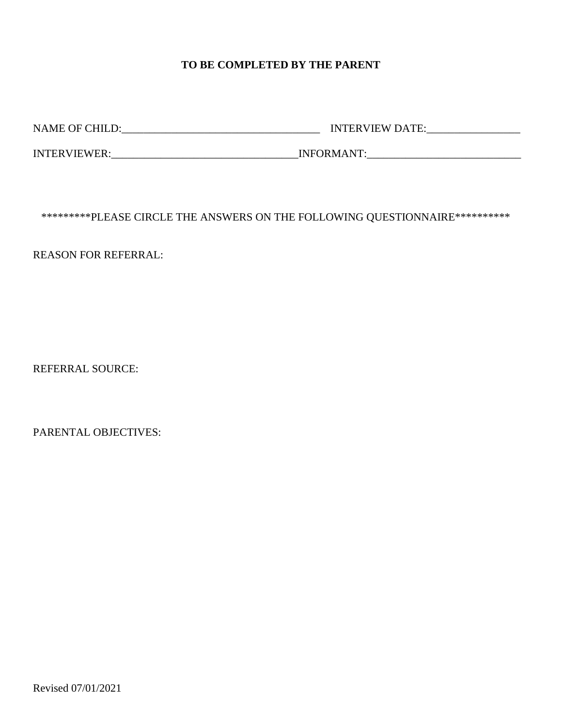## **TO BE COMPLETED BY THE PARENT**

NAME OF CHILD:\_\_\_\_\_\_\_\_\_\_\_\_\_\_\_\_\_\_\_\_\_\_\_\_\_\_\_\_\_\_\_\_\_\_\_\_ INTERVIEW DATE:\_\_\_\_\_\_\_\_\_\_\_\_\_\_\_\_\_

INTERVIEWER:\_\_\_\_\_\_\_\_\_\_\_\_\_\_\_\_\_\_\_\_\_\_\_\_\_\_\_\_\_\_\_\_\_\_INFORMANT:\_\_\_\_\_\_\_\_\_\_\_\_\_\_\_\_\_\_\_\_\_\_\_\_\_\_\_\_

\*\*\*\*\*\*\*\*\*PLEASE CIRCLE THE ANSWERS ON THE FOLLOWING QUESTIONNAIRE\*\*\*\*\*\*\*\*\*\*

REASON FOR REFERRAL:

REFERRAL SOURCE:

PARENTAL OBJECTIVES: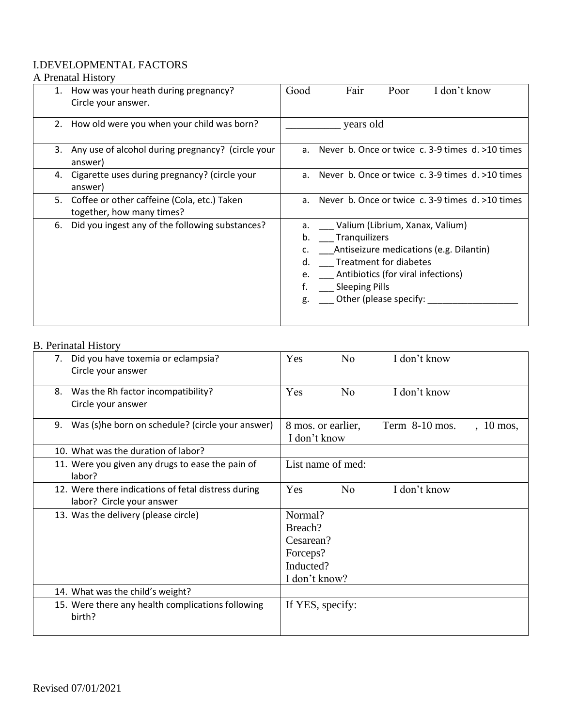## I.DEVELOPMENTAL FACTORS

## A Prenatal History

|    | 1. How was your heath during pregnancy?<br>Circle your answer.              | Fair<br>Poor<br>Good<br>I don't know                                                                                                                                                                                                           |
|----|-----------------------------------------------------------------------------|------------------------------------------------------------------------------------------------------------------------------------------------------------------------------------------------------------------------------------------------|
|    | 2. How old were you when your child was born?                               | years old                                                                                                                                                                                                                                      |
|    | 3. Any use of alcohol during pregnancy? (circle your<br>answer)             | Never b. Once or twice c. 3-9 times d. >10 times<br>a <sub>z</sub>                                                                                                                                                                             |
|    | 4. Cigarette uses during pregnancy? (circle your<br>answer)                 | a. Never b. Once or twice c. 3-9 times $d \ge 10$ times                                                                                                                                                                                        |
|    | 5. Coffee or other caffeine (Cola, etc.) Taken<br>together, how many times? | a. Never b. Once or twice c. 3-9 times d. >10 times                                                                                                                                                                                            |
| 6. | Did you ingest any of the following substances?                             | a. ____ Valium (Librium, Xanax, Valium)<br>Tranquilizers<br>b.<br>Antiseizure medications (e.g. Dilantin)<br>Treatment for diabetes<br>d.<br>Antibiotics (for viral infections)<br>e.<br><b>Sleeping Pills</b><br>Other (please specify:<br>g. |

#### B. Perinatal History

| 7. | Did you have toxemia or eclampsia?                          | Yes                                | N <sub>o</sub> | I don't know     |             |
|----|-------------------------------------------------------------|------------------------------------|----------------|------------------|-------------|
|    | Circle your answer                                          |                                    |                |                  |             |
| 8. | Was the Rh factor incompatibility?                          | Yes                                | N <sub>o</sub> | I don't know     |             |
|    | Circle your answer                                          |                                    |                |                  |             |
| 9. | Was (s)he born on schedule? (circle your answer)            | 8 mos. or earlier,<br>I don't know |                | Term $8-10$ mos. | $, 10$ mos, |
|    | 10. What was the duration of labor?                         |                                    |                |                  |             |
|    | 11. Were you given any drugs to ease the pain of            | List name of med:                  |                |                  |             |
|    | labor?                                                      |                                    |                |                  |             |
|    | 12. Were there indications of fetal distress during         | <b>Yes</b>                         | N <sub>o</sub> | I don't know     |             |
|    | labor? Circle your answer                                   |                                    |                |                  |             |
|    | 13. Was the delivery (please circle)                        | Normal?                            |                |                  |             |
|    |                                                             | Breach?                            |                |                  |             |
|    |                                                             | Cesarean?                          |                |                  |             |
|    |                                                             | Forceps?                           |                |                  |             |
|    |                                                             | Inducted?                          |                |                  |             |
|    |                                                             | I don't know?                      |                |                  |             |
|    | 14. What was the child's weight?                            |                                    |                |                  |             |
|    | 15. Were there any health complications following<br>birth? | If YES, specify:                   |                |                  |             |
|    |                                                             |                                    |                |                  |             |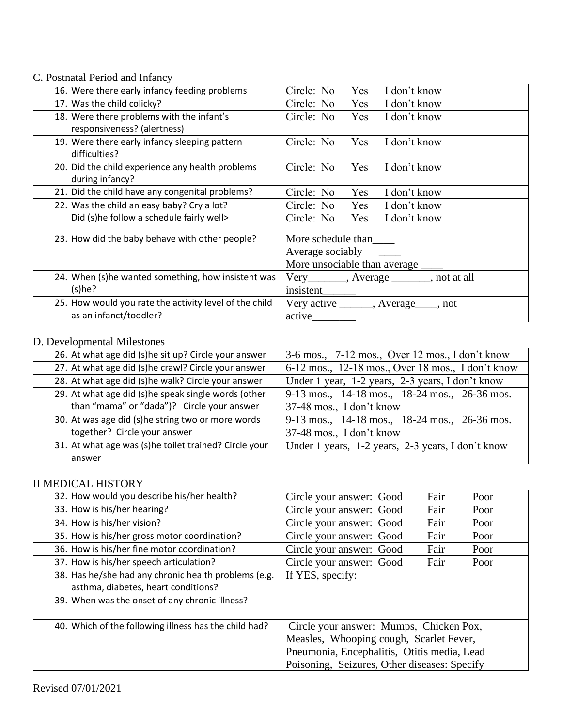C. Postnatal Period and Infancy

| 16. Were there early infancy feeding problems          | Circle: No<br>Yes<br>I don't know                  |  |  |
|--------------------------------------------------------|----------------------------------------------------|--|--|
| 17. Was the child colicky?                             | Circle: No<br>Yes<br>I don't know                  |  |  |
| 18. Were there problems with the infant's              | Circle: No<br>Yes<br>I don't know                  |  |  |
| responsiveness? (alertness)                            |                                                    |  |  |
| 19. Were there early infancy sleeping pattern          | Circle: No<br>I don't know<br><b>Yes</b>           |  |  |
| difficulties?                                          |                                                    |  |  |
| 20. Did the child experience any health problems       | Circle: No<br>Yes<br>I don't know                  |  |  |
| during infancy?                                        |                                                    |  |  |
| 21. Did the child have any congenital problems?        | Circle: No<br>Yes<br>I don't know                  |  |  |
| 22. Was the child an easy baby? Cry a lot?             | Circle: No<br>Yes I don't know                     |  |  |
| Did (s)he follow a schedule fairly well>               | Circle: No<br>Yes I don't know                     |  |  |
|                                                        |                                                    |  |  |
| 23. How did the baby behave with other people?         | More schedule than                                 |  |  |
|                                                        | Average sociably                                   |  |  |
|                                                        | More unsociable than average ______                |  |  |
| 24. When (s)he wanted something, how insistent was     | $Very$ __________, $ Average$ ________, not at all |  |  |
| (s)he?                                                 | insistent                                          |  |  |
| 25. How would you rate the activity level of the child | Very active _______, Average____, not              |  |  |
| as an infanct/toddler?                                 | active                                             |  |  |

#### D. Developmental Milestones

| 26. At what age did (s)he sit up? Circle your answer                                                     | 3-6 mos., 7-12 mos., Over 12 mos., I don't know   |  |
|----------------------------------------------------------------------------------------------------------|---------------------------------------------------|--|
| 27. At what age did (s)he crawl? Circle your answer<br>6-12 mos., 12-18 mos., Over 18 mos., I don't know |                                                   |  |
| 28. At what age did (s)he walk? Circle your answer                                                       | Under 1 year, 1-2 years, 2-3 years, I don't know  |  |
| 29. At what age did (s)he speak single words (other                                                      | 9-13 mos., 14-18 mos., 18-24 mos., 26-36 mos.     |  |
| than "mama" or "dada")? Circle your answer                                                               | 37-48 mos., I don't know                          |  |
| 30. At was age did (s)he string two or more words                                                        | 9-13 mos., 14-18 mos., 18-24 mos., 26-36 mos.     |  |
| together? Circle your answer                                                                             | 37-48 mos., I don't know                          |  |
| 31. At what age was (s)he toilet trained? Circle your                                                    | Under 1 years, 1-2 years, 2-3 years, I don't know |  |
| answer                                                                                                   |                                                   |  |

## II MEDICAL HISTORY

| 32. How would you describe his/her health?            | Fair<br>Circle your answer: Good<br>Poor     |  |  |
|-------------------------------------------------------|----------------------------------------------|--|--|
| 33. How is his/her hearing?                           | Fair<br>Circle your answer: Good<br>Poor     |  |  |
| 34. How is his/her vision?                            | Circle your answer: Good<br>Fair<br>Poor     |  |  |
| 35. How is his/her gross motor coordination?          | Fair<br>Circle your answer: Good<br>Poor     |  |  |
| 36. How is his/her fine motor coordination?           | Fair<br>Circle your answer: Good<br>Poor     |  |  |
| 37. How is his/her speech articulation?               | Circle your answer: Good<br>Fair<br>Poor     |  |  |
| 38. Has he/she had any chronic health problems (e.g.  | If YES, specify:                             |  |  |
| asthma, diabetes, heart conditions?                   |                                              |  |  |
| 39. When was the onset of any chronic illness?        |                                              |  |  |
|                                                       |                                              |  |  |
| 40. Which of the following illness has the child had? | Circle your answer: Mumps, Chicken Pox,      |  |  |
|                                                       | Measles, Whooping cough, Scarlet Fever,      |  |  |
|                                                       | Pneumonia, Encephalitis, Otitis media, Lead  |  |  |
|                                                       | Poisoning, Seizures, Other diseases: Specify |  |  |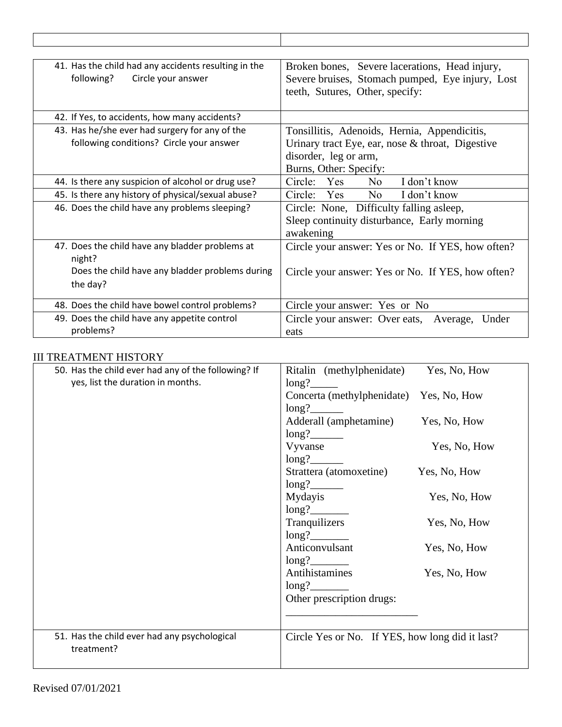| 41. Has the child had any accidents resulting in the | Broken bones, Severe lacerations, Head injury,    |
|------------------------------------------------------|---------------------------------------------------|
| Circle your answer<br>following?                     | Severe bruises, Stomach pumped, Eye injury, Lost  |
|                                                      | teeth, Sutures, Other, specify:                   |
|                                                      |                                                   |
| 42. If Yes, to accidents, how many accidents?        |                                                   |
| 43. Has he/she ever had surgery for any of the       | Tonsillitis, Adenoids, Hernia, Appendicitis,      |
| following conditions? Circle your answer             | Urinary tract Eye, ear, nose & throat, Digestive  |
|                                                      | disorder, leg or arm,                             |
|                                                      | Burns, Other: Specify:                            |
| 44. Is there any suspicion of alcohol or drug use?   | I don't know<br>Circle: Yes<br>N <sub>o</sub>     |
| 45. Is there any history of physical/sexual abuse?   | Circle: Yes<br>N <sub>o</sub><br>I don't know     |
| 46. Does the child have any problems sleeping?       | Circle: None, Difficulty falling asleep,          |
|                                                      | Sleep continuity disturbance, Early morning       |
|                                                      | awakening                                         |
| 47. Does the child have any bladder problems at      | Circle your answer: Yes or No. If YES, how often? |
| night?                                               |                                                   |
| Does the child have any bladder problems during      | Circle your answer: Yes or No. If YES, how often? |
| the day?                                             |                                                   |
| 48. Does the child have bowel control problems?      |                                                   |
|                                                      | Circle your answer: Yes or No                     |
| 49. Does the child have any appetite control         | Circle your answer: Over eats, Average,<br>Under  |
| problems?                                            | eats                                              |

## III TREATMENT HISTORY

| 50. Has the child ever had any of the following? If        | Ritalin (methylphenidate)                       | Yes, No, How |
|------------------------------------------------------------|-------------------------------------------------|--------------|
| yes, list the duration in months.                          | long?                                           |              |
|                                                            | Concerta (methylphenidate)                      | Yes, No, How |
|                                                            | long?                                           |              |
|                                                            | Adderall (amphetamine)                          | Yes, No, How |
|                                                            | long?                                           |              |
|                                                            | Vyvanse                                         | Yes, No, How |
|                                                            | long?                                           |              |
|                                                            | Strattera (atomoxetine)                         | Yes, No, How |
|                                                            | long?                                           |              |
|                                                            | Mydayis                                         | Yes, No, How |
|                                                            | long?                                           |              |
|                                                            | Tranquilizers                                   | Yes, No, How |
|                                                            | long?                                           |              |
|                                                            | Anticonvulsant                                  | Yes, No, How |
|                                                            | long?                                           |              |
|                                                            | Antihistamines                                  | Yes, No, How |
|                                                            | long?                                           |              |
|                                                            | Other prescription drugs:                       |              |
|                                                            |                                                 |              |
|                                                            |                                                 |              |
| 51. Has the child ever had any psychological<br>treatment? | Circle Yes or No. If YES, how long did it last? |              |
|                                                            |                                                 |              |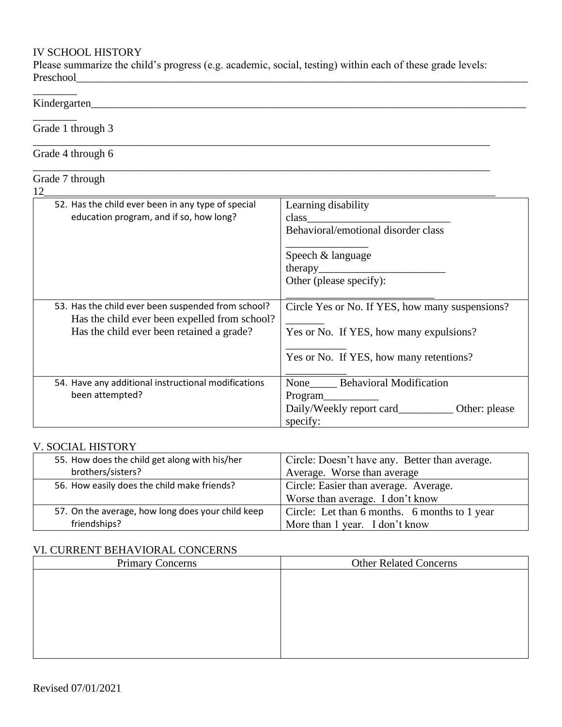## IV SCHOOL HISTORY

Please summarize the child's progress (e.g. academic, social, testing) within each of these grade levels: Preschool

\_\_\_\_\_\_\_\_\_\_\_\_\_\_\_\_\_\_\_\_\_\_\_\_\_\_\_\_\_\_\_\_\_\_\_\_\_\_\_\_\_\_\_\_\_\_\_\_\_\_\_\_\_\_\_\_\_\_\_\_\_\_\_\_\_\_\_\_\_\_\_\_\_\_\_\_\_\_\_\_\_\_\_

\_\_\_\_\_\_\_\_\_\_\_\_\_\_\_\_\_\_\_\_\_\_\_\_\_\_\_\_\_\_\_\_\_\_\_\_\_\_\_\_\_\_\_\_\_\_\_\_\_\_\_\_\_\_\_\_\_\_\_\_\_\_\_\_\_\_\_\_\_\_\_\_\_\_\_\_\_\_\_\_\_\_\_

## Kindergarten\_\_\_\_\_\_\_\_\_\_\_\_\_\_\_\_\_\_\_\_\_\_\_\_\_\_\_\_\_\_\_\_\_\_\_\_\_\_\_\_\_\_\_\_\_\_\_\_\_\_\_\_\_\_\_\_\_\_\_\_\_\_\_\_\_\_\_\_\_\_\_\_\_\_\_\_\_\_\_

\_\_\_\_\_\_\_\_

 $\overline{\phantom{a}}$  . The set of the set of the set of the set of the set of the set of the set of the set of the set of the set of the set of the set of the set of the set of the set of the set of the set of the set of the set o

Grade 1 through 3

## Grade 4 through 6

# Grade 7 through<br>12

| 12                                                                                                  |                                                    |
|-----------------------------------------------------------------------------------------------------|----------------------------------------------------|
| 52. Has the child ever been in any type of special                                                  | Learning disability                                |
| education program, and if so, how long?                                                             |                                                    |
|                                                                                                     | Behavioral/emotional disorder class                |
|                                                                                                     | Speech & language                                  |
|                                                                                                     | thereby                                            |
|                                                                                                     | Other (please specify):                            |
| 53. Has the child ever been suspended from school?<br>Has the child ever been expelled from school? | Circle Yes or No. If YES, how many suspensions?    |
| Has the child ever been retained a grade?                                                           | Yes or No. If YES, how many expulsions?            |
|                                                                                                     | Yes or No. If YES, how many retentions?            |
| 54. Have any additional instructional modifications                                                 | None Behavioral Modification                       |
| been attempted?                                                                                     | Program                                            |
|                                                                                                     | Daily/Weekly report card____________ Other: please |
|                                                                                                     | specify:                                           |

#### V. SOCIAL HISTORY

| 55. How does the child get along with his/her     | Circle: Doesn't have any. Better than average. |
|---------------------------------------------------|------------------------------------------------|
| brothers/sisters?                                 | Average. Worse than average                    |
| 56. How easily does the child make friends?       | Circle: Easier than average. Average.          |
|                                                   | Worse than average. I don't know               |
| 57. On the average, how long does your child keep | Circle: Let than 6 months. 6 months to 1 year  |
| friendships?                                      | More than 1 year. I don't know                 |

#### VI. CURRENT BEHAVIORAL CONCERNS

| <b>Primary Concerns</b> | <b>Other Related Concerns</b> |
|-------------------------|-------------------------------|
|                         |                               |
|                         |                               |
|                         |                               |
|                         |                               |
|                         |                               |
|                         |                               |
|                         |                               |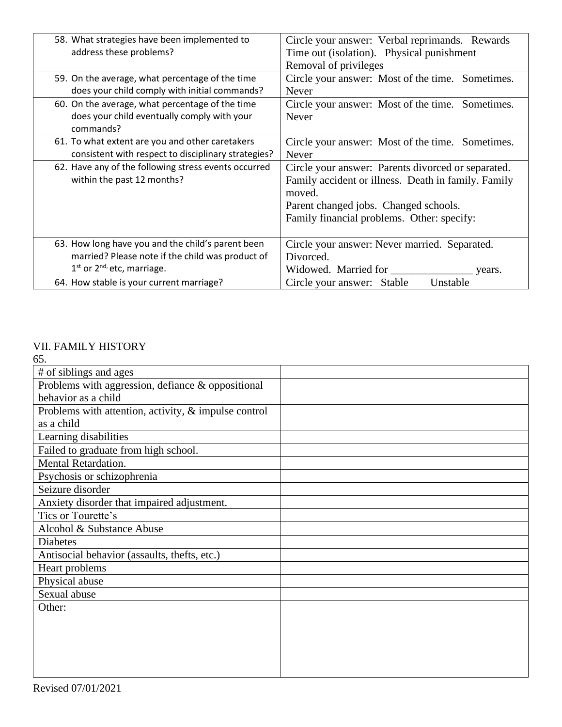| 58. What strategies have been implemented to<br>address these problems?                                                                | Circle your answer: Verbal reprimands. Rewards<br>Time out (isolation). Physical punishment                                                                                                                |
|----------------------------------------------------------------------------------------------------------------------------------------|------------------------------------------------------------------------------------------------------------------------------------------------------------------------------------------------------------|
|                                                                                                                                        | Removal of privileges                                                                                                                                                                                      |
| 59. On the average, what percentage of the time<br>does your child comply with initial commands?                                       | Circle your answer: Most of the time. Sometimes.<br>Never                                                                                                                                                  |
| 60. On the average, what percentage of the time<br>does your child eventually comply with your<br>commands?                            | Circle your answer: Most of the time. Sometimes.<br>Never                                                                                                                                                  |
| 61. To what extent are you and other caretakers<br>consistent with respect to disciplinary strategies?                                 | Circle your answer: Most of the time. Sometimes.<br>Never                                                                                                                                                  |
| 62. Have any of the following stress events occurred<br>within the past 12 months?                                                     | Circle your answer: Parents divorced or separated.<br>Family accident or illness. Death in family. Family<br>moved.<br>Parent changed jobs. Changed schools.<br>Family financial problems. Other: specify: |
| 63. How long have you and the child's parent been<br>married? Please note if the child was product of<br>$1st$ or $2nd$ etc, marriage. | Circle your answer: Never married. Separated.<br>Divorced.<br>Widowed. Married for<br>years.                                                                                                               |
| 64. How stable is your current marriage?                                                                                               | Circle your answer: Stable<br>Unstable                                                                                                                                                                     |

#### VII. FAMILY HISTORY 65.

| υυ.                                                  |  |
|------------------------------------------------------|--|
| # of siblings and ages                               |  |
| Problems with aggression, defiance & oppositional    |  |
| behavior as a child                                  |  |
| Problems with attention, activity, & impulse control |  |
| as a child                                           |  |
| Learning disabilities                                |  |
| Failed to graduate from high school.                 |  |
| Mental Retardation.                                  |  |
| Psychosis or schizophrenia                           |  |
| Seizure disorder                                     |  |
| Anxiety disorder that impaired adjustment.           |  |
| Tics or Tourette's                                   |  |
| Alcohol & Substance Abuse                            |  |
| <b>Diabetes</b>                                      |  |
| Antisocial behavior (assaults, thefts, etc.)         |  |
| Heart problems                                       |  |
| Physical abuse                                       |  |
| Sexual abuse                                         |  |
| Other:                                               |  |
|                                                      |  |
|                                                      |  |
|                                                      |  |
|                                                      |  |
|                                                      |  |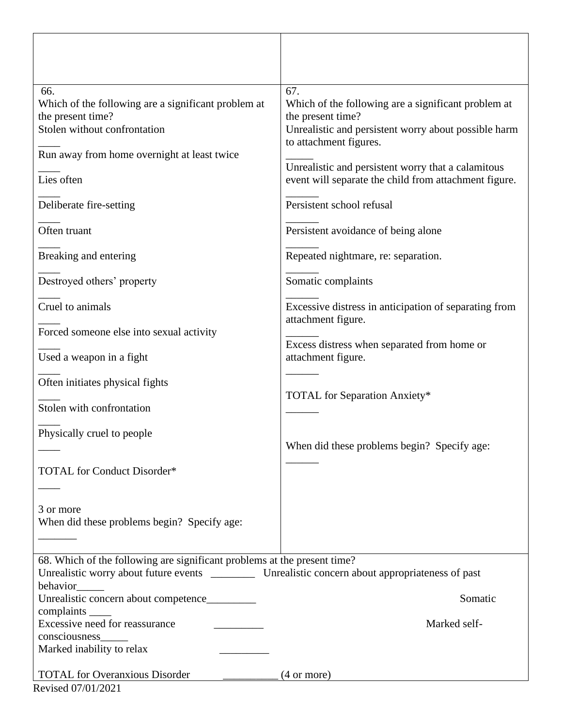| 66.<br>Which of the following are a significant problem at<br>the present time?<br>Stolen without confrontation<br>Run away from home overnight at least twice<br>Lies often<br>Deliberate fire-setting<br>Often truant<br>Breaking and entering<br>Destroyed others' property<br>Cruel to animals<br>Forced someone else into sexual activity<br>Used a weapon in a fight<br>Often initiates physical fights<br>Stolen with confrontation<br>Physically cruel to people<br>TOTAL for Conduct Disorder*<br>3 or more<br>When did these problems begin? Specify age: | 67.<br>Which of the following are a significant problem at<br>the present time?<br>Unrealistic and persistent worry about possible harm<br>to attachment figures.<br>Unrealistic and persistent worry that a calamitous<br>event will separate the child from attachment figure.<br>Persistent school refusal<br>Persistent avoidance of being alone<br>Repeated nightmare, re: separation.<br>Somatic complaints<br>Excessive distress in anticipation of separating from<br>attachment figure.<br>Excess distress when separated from home or<br>attachment figure.<br>TOTAL for Separation Anxiety*<br>When did these problems begin? Specify age: |
|---------------------------------------------------------------------------------------------------------------------------------------------------------------------------------------------------------------------------------------------------------------------------------------------------------------------------------------------------------------------------------------------------------------------------------------------------------------------------------------------------------------------------------------------------------------------|-------------------------------------------------------------------------------------------------------------------------------------------------------------------------------------------------------------------------------------------------------------------------------------------------------------------------------------------------------------------------------------------------------------------------------------------------------------------------------------------------------------------------------------------------------------------------------------------------------------------------------------------------------|
| 68. Which of the following are significant problems at the present time?                                                                                                                                                                                                                                                                                                                                                                                                                                                                                            |                                                                                                                                                                                                                                                                                                                                                                                                                                                                                                                                                                                                                                                       |
| behavior                                                                                                                                                                                                                                                                                                                                                                                                                                                                                                                                                            |                                                                                                                                                                                                                                                                                                                                                                                                                                                                                                                                                                                                                                                       |
| Unrealistic concern about competence________                                                                                                                                                                                                                                                                                                                                                                                                                                                                                                                        | Somatic                                                                                                                                                                                                                                                                                                                                                                                                                                                                                                                                                                                                                                               |
| complaints ______<br>Excessive need for reassurance                                                                                                                                                                                                                                                                                                                                                                                                                                                                                                                 | Marked self-                                                                                                                                                                                                                                                                                                                                                                                                                                                                                                                                                                                                                                          |
| consciousness_<br>Marked inability to relax                                                                                                                                                                                                                                                                                                                                                                                                                                                                                                                         |                                                                                                                                                                                                                                                                                                                                                                                                                                                                                                                                                                                                                                                       |
| <b>TOTAL</b> for Overanxious Disorder<br>Revised 07/01/2021                                                                                                                                                                                                                                                                                                                                                                                                                                                                                                         | $(4 \text{ or more})$                                                                                                                                                                                                                                                                                                                                                                                                                                                                                                                                                                                                                                 |

٦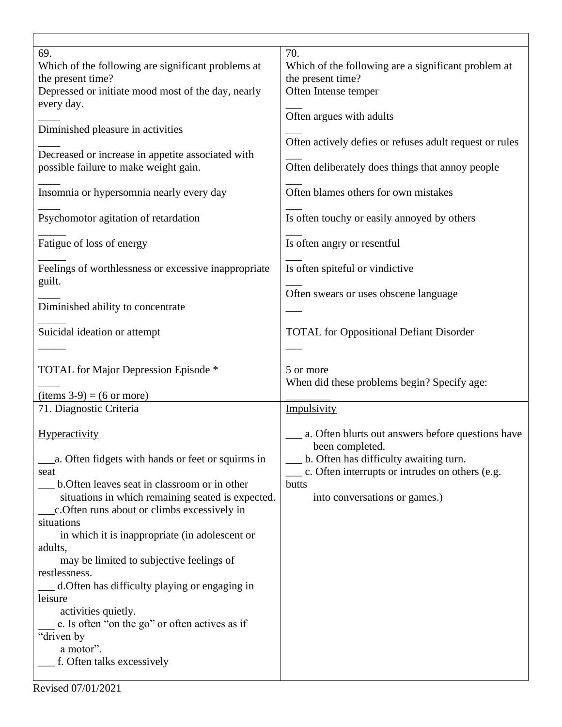| 69.<br>Which of the following are significant problems at<br>the present time?<br>Depressed or initiate mood most of the day, nearly<br>every day. | 70.<br>Which of the following are a significant problem at<br>the present time?<br>Often Intense temper |
|----------------------------------------------------------------------------------------------------------------------------------------------------|---------------------------------------------------------------------------------------------------------|
| Diminished pleasure in activities                                                                                                                  | Often argues with adults<br>Often actively defies or refuses adult request or rules                     |
| Decreased or increase in appetite associated with<br>possible failure to make weight gain.                                                         | Often deliberately does things that annoy people                                                        |
| Insomnia or hypersomnia nearly every day                                                                                                           | Often blames others for own mistakes                                                                    |
| Psychomotor agitation of retardation                                                                                                               | Is often touchy or easily annoyed by others                                                             |
| Fatigue of loss of energy                                                                                                                          | Is often angry or resentful                                                                             |
| Feelings of worthlessness or excessive inappropriate<br>guilt.                                                                                     | Is often spiteful or vindictive                                                                         |
| Diminished ability to concentrate                                                                                                                  | Often swears or uses obscene language                                                                   |
| Suicidal ideation or attempt                                                                                                                       | <b>TOTAL</b> for Oppositional Defiant Disorder                                                          |
|                                                                                                                                                    |                                                                                                         |
| TOTAL for Major Depression Episode *                                                                                                               | 5 or more                                                                                               |
|                                                                                                                                                    | When did these problems begin? Specify age:                                                             |
| $(items 3-9) = (6 or more)$                                                                                                                        |                                                                                                         |
| 71. Diagnostic Criteria<br>Hyperactivity                                                                                                           | Impulsivity<br>a. Often blurts out answers before questions have<br>been completed.                     |
| a. Often fidgets with hands or feet or squirms in                                                                                                  | b. Often has difficulty awaiting turn.                                                                  |
| seat                                                                                                                                               | c. Often interrupts or intrudes on others (e.g.                                                         |
| b. Often leaves seat in classroom or in other<br>situations in which remaining seated is expected.                                                 | butts<br>into conversations or games.)                                                                  |
| c. Often runs about or climbs excessively in<br>situations<br>in which it is inappropriate (in adolescent or                                       |                                                                                                         |
| adults,<br>may be limited to subjective feelings of                                                                                                |                                                                                                         |
| restlessness.<br>d. Often has difficulty playing or engaging in                                                                                    |                                                                                                         |
| leisure                                                                                                                                            |                                                                                                         |
| activities quietly.                                                                                                                                |                                                                                                         |
| e. Is often "on the go" or often actives as if                                                                                                     |                                                                                                         |
| "driven by                                                                                                                                         |                                                                                                         |
| a motor".<br>f. Often talks excessively                                                                                                            |                                                                                                         |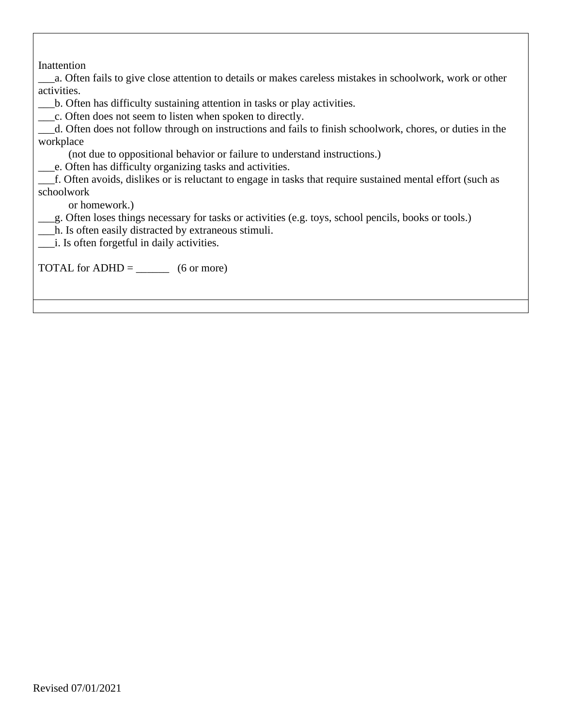| Inattention                                                                                                  |
|--------------------------------------------------------------------------------------------------------------|
| a. Often fails to give close attention to details or makes careless mistakes in schoolwork, work or other    |
| activities.                                                                                                  |
| b. Often has difficulty sustaining attention in tasks or play activities.                                    |
|                                                                                                              |
| d. Often does not follow through on instructions and fails to finish schoolwork, chores, or duties in the    |
| workplace                                                                                                    |
| (not due to oppositional behavior or failure to understand instructions.)                                    |
| _____e. Often has difficulty organizing tasks and activities.                                                |
| __f. Often avoids, dislikes or is reluctant to engage in tasks that require sustained mental effort (such as |
| schoolwork                                                                                                   |
| or homework.)                                                                                                |
| g. Often loses things necessary for tasks or activities (e.g. toys, school pencils, books or tools.)         |
| h. Is often easily distracted by extraneous stimuli.                                                         |
|                                                                                                              |
|                                                                                                              |
| TOTAL for ADHD = $\_\_\_\_\_\_\_$ (6 or more)                                                                |
|                                                                                                              |
|                                                                                                              |

 $\mathsf{l}$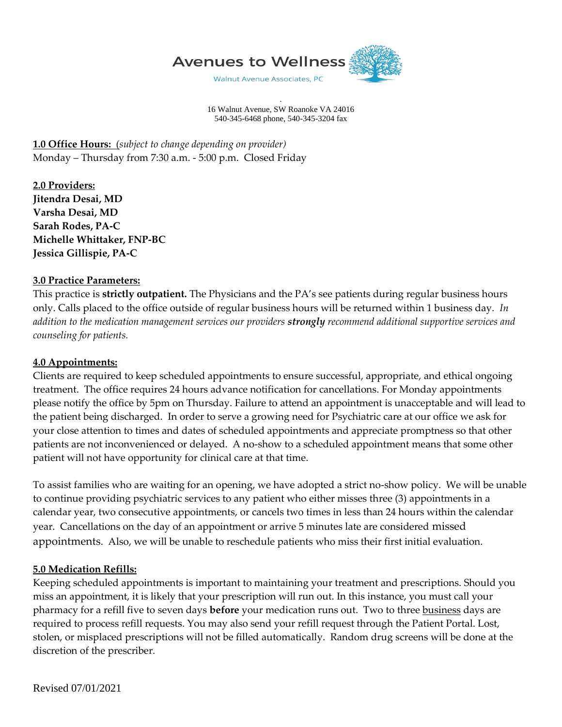

. 16 Walnut Avenue, SW Roanoke VA 24016 540-345-6468 phone, 540-345-3204 fax

**1.0 Office Hours:** (*subject to change depending on provider)* Monday – Thursday from 7:30 a.m. - 5:00 p.m. Closed Friday

**2.0 Providers: Jitendra Desai, MD Varsha Desai, MD Sarah Rodes, PA-C Michelle Whittaker, FNP-BC Jessica Gillispie, PA-C**

#### **3.0 Practice Parameters:**

This practice is **strictly outpatient.** The Physicians and the PA's see patients during regular business hours only. Calls placed to the office outside of regular business hours will be returned within 1 business day. *In addition to the medication management services our providers strongly recommend additional supportive services and counseling for patients.*

#### **4.0 Appointments:**

Clients are required to keep scheduled appointments to ensure successful, appropriate, and ethical ongoing treatment. The office requires 24 hours advance notification for cancellations. For Monday appointments please notify the office by 5pm on Thursday. Failure to attend an appointment is unacceptable and will lead to the patient being discharged. In order to serve a growing need for Psychiatric care at our office we ask for your close attention to times and dates of scheduled appointments and appreciate promptness so that other patients are not inconvenienced or delayed. A no-show to a scheduled appointment means that some other patient will not have opportunity for clinical care at that time.

To assist families who are waiting for an opening, we have adopted a strict no-show policy. We will be unable to continue providing psychiatric services to any patient who either misses three (3) appointments in a calendar year, two consecutive appointments, or cancels two times in less than 24 hours within the calendar year. Cancellations on the day of an appointment or arrive 5 minutes late are considered missed appointments. Also, we will be unable to reschedule patients who miss their first initial evaluation.

#### **5.0 Medication Refills:**

Keeping scheduled appointments is important to maintaining your treatment and prescriptions. Should you miss an appointment, it is likely that your prescription will run out. In this instance, you must call your pharmacy for a refill five to seven days **before** your medication runs out. Two to three business days are required to process refill requests. You may also send your refill request through the Patient Portal. Lost, stolen, or misplaced prescriptions will not be filled automatically. Random drug screens will be done at the discretion of the prescriber.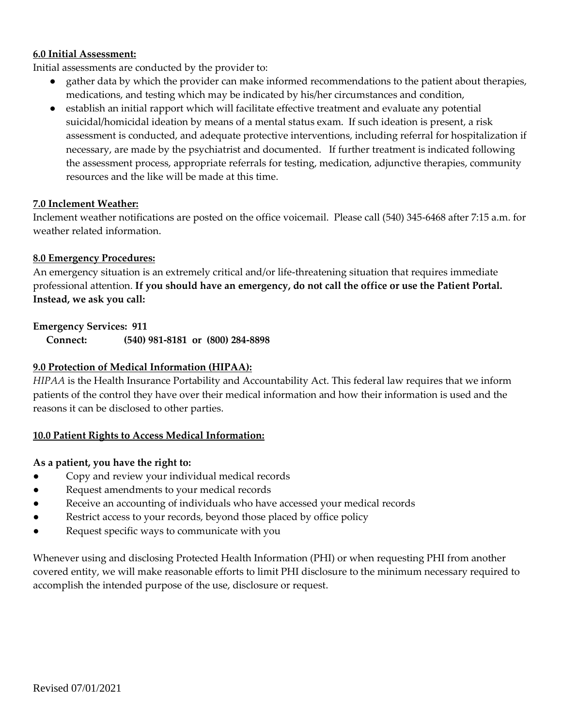#### **6.0 Initial Assessment:**

Initial assessments are conducted by the provider to:

- gather data by which the provider can make informed recommendations to the patient about therapies, medications, and testing which may be indicated by his/her circumstances and condition,
- establish an initial rapport which will facilitate effective treatment and evaluate any potential suicidal/homicidal ideation by means of a mental status exam. If such ideation is present, a risk assessment is conducted, and adequate protective interventions, including referral for hospitalization if necessary, are made by the psychiatrist and documented. If further treatment is indicated following the assessment process, appropriate referrals for testing, medication, adjunctive therapies, community resources and the like will be made at this time.

## **7.0 Inclement Weather:**

Inclement weather notifications are posted on the office voicemail. Please call (540) 345-6468 after 7:15 a.m. for weather related information.

## **8.0 Emergency Procedures:**

An emergency situation is an extremely critical and/or life-threatening situation that requires immediate professional attention. **If you should have an emergency, do not call the office or use the Patient Portal. Instead, we ask you call:**

## **Emergency Services: 911**

**Connect: (540) 981-8181 or (800) 284-8898**

## **9.0 Protection of Medical Information (HIPAA):**

*HIPAA* is the Health Insurance Portability and Accountability Act. This federal law requires that we inform patients of the control they have over their medical information and how their information is used and the reasons it can be disclosed to other parties.

#### **10.0 Patient Rights to Access Medical Information:**

#### **As a patient, you have the right to:**

- Copy and review your individual medical records
- Request amendments to your medical records
- Receive an accounting of individuals who have accessed your medical records
- Restrict access to your records, beyond those placed by office policy
- Request specific ways to communicate with you

Whenever using and disclosing Protected Health Information (PHI) or when requesting PHI from another covered entity, we will make reasonable efforts to limit PHI disclosure to the minimum necessary required to accomplish the intended purpose of the use, disclosure or request.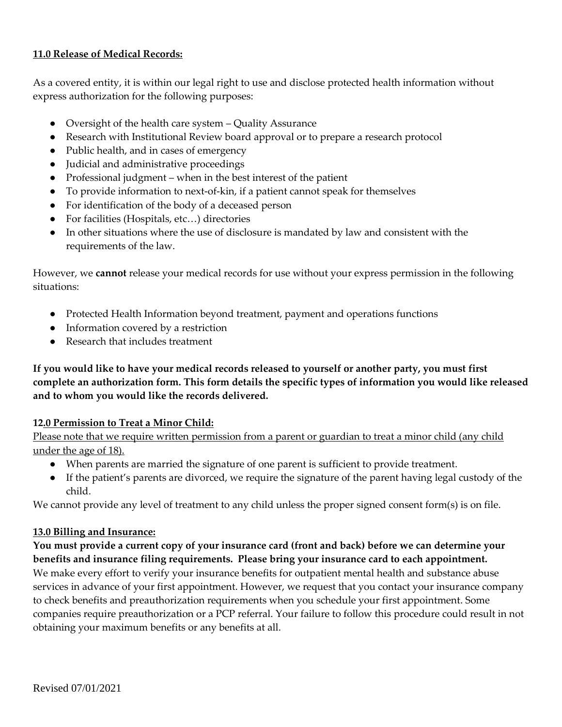### **11.0 Release of Medical Records:**

As a covered entity, it is within our legal right to use and disclose protected health information without express authorization for the following purposes:

- Oversight of the health care system Quality Assurance
- Research with Institutional Review board approval or to prepare a research protocol
- Public health, and in cases of emergency
- Judicial and administrative proceedings
- Professional judgment when in the best interest of the patient
- To provide information to next-of-kin, if a patient cannot speak for themselves
- For identification of the body of a deceased person
- For facilities (Hospitals, etc...) directories
- In other situations where the use of disclosure is mandated by law and consistent with the requirements of the law.

However, we **cannot** release your medical records for use without your express permission in the following situations:

- Protected Health Information beyond treatment, payment and operations functions
- Information covered by a restriction
- Research that includes treatment

**If you would like to have your medical records released to yourself or another party, you must first complete an authorization form. This form details the specific types of information you would like released and to whom you would like the records delivered.**

#### **12.0 Permission to Treat a Minor Child:**

Please note that we require written permission from a parent or guardian to treat a minor child (any child under the age of 18).

- When parents are married the signature of one parent is sufficient to provide treatment.
- If the patient's parents are divorced, we require the signature of the parent having legal custody of the child.

We cannot provide any level of treatment to any child unless the proper signed consent form(s) is on file.

## **13.0 Billing and Insurance:**

**You must provide a current copy of your insurance card (front and back) before we can determine your benefits and insurance filing requirements. Please bring your insurance card to each appointment.**

We make every effort to verify your insurance benefits for outpatient mental health and substance abuse services in advance of your first appointment. However, we request that you contact your insurance company to check benefits and preauthorization requirements when you schedule your first appointment. Some companies require preauthorization or a PCP referral. Your failure to follow this procedure could result in not obtaining your maximum benefits or any benefits at all.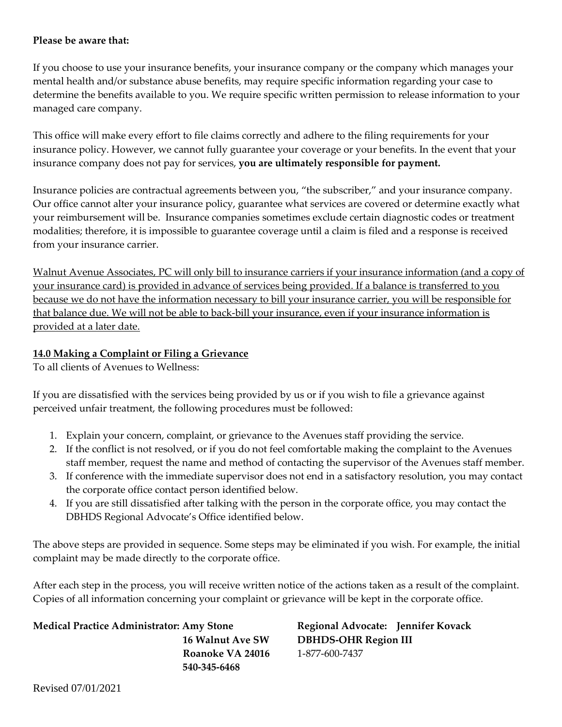## **Please be aware that:**

If you choose to use your insurance benefits, your insurance company or the company which manages your mental health and/or substance abuse benefits, may require specific information regarding your case to determine the benefits available to you. We require specific written permission to release information to your managed care company.

This office will make every effort to file claims correctly and adhere to the filing requirements for your insurance policy. However, we cannot fully guarantee your coverage or your benefits. In the event that your insurance company does not pay for services, **you are ultimately responsible for payment.**

Insurance policies are contractual agreements between you, "the subscriber," and your insurance company. Our office cannot alter your insurance policy, guarantee what services are covered or determine exactly what your reimbursement will be. Insurance companies sometimes exclude certain diagnostic codes or treatment modalities; therefore, it is impossible to guarantee coverage until a claim is filed and a response is received from your insurance carrier.

Walnut Avenue Associates, PC will only bill to insurance carriers if your insurance information (and a copy of your insurance card) is provided in advance of services being provided. If a balance is transferred to you because we do not have the information necessary to bill your insurance carrier, you will be responsible for that balance due. We will not be able to back-bill your insurance, even if your insurance information is provided at a later date.

## **14.0 Making a Complaint or Filing a Grievance**

To all clients of Avenues to Wellness:

If you are dissatisfied with the services being provided by us or if you wish to file a grievance against perceived unfair treatment, the following procedures must be followed:

- 1. Explain your concern, complaint, or grievance to the Avenues staff providing the service.
- 2. If the conflict is not resolved, or if you do not feel comfortable making the complaint to the Avenues staff member, request the name and method of contacting the supervisor of the Avenues staff member.
- 3. If conference with the immediate supervisor does not end in a satisfactory resolution, you may contact the corporate office contact person identified below.
- 4. If you are still dissatisfied after talking with the person in the corporate office, you may contact the DBHDS Regional Advocate's Office identified below.

The above steps are provided in sequence. Some steps may be eliminated if you wish. For example, the initial complaint may be made directly to the corporate office.

After each step in the process, you will receive written notice of the actions taken as a result of the complaint. Copies of all information concerning your complaint or grievance will be kept in the corporate office.

## **Medical Practice Administrator: Amy Stone Regional Advocate: Jennifer Kovack**

**Roanoke VA 24016** 1-877-600-7437  **540-345-6468**

 **16 Walnut Ave SW DBHDS-OHR Region III**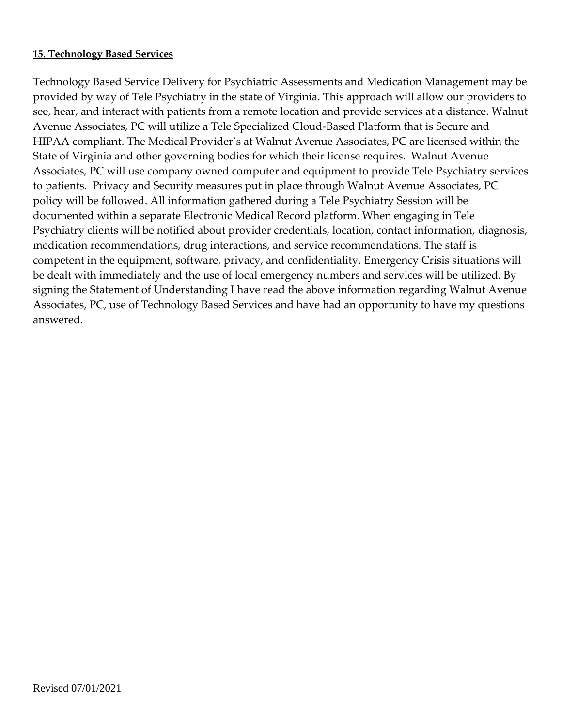## **15. Technology Based Services**

Technology Based Service Delivery for Psychiatric Assessments and Medication Management may be provided by way of Tele Psychiatry in the state of Virginia. This approach will allow our providers to see, hear, and interact with patients from a remote location and provide services at a distance. Walnut Avenue Associates, PC will utilize a Tele Specialized Cloud-Based Platform that is Secure and HIPAA compliant. The Medical Provider's at Walnut Avenue Associates, PC are licensed within the State of Virginia and other governing bodies for which their license requires. Walnut Avenue Associates, PC will use company owned computer and equipment to provide Tele Psychiatry services to patients. Privacy and Security measures put in place through Walnut Avenue Associates, PC policy will be followed. All information gathered during a Tele Psychiatry Session will be documented within a separate Electronic Medical Record platform. When engaging in Tele Psychiatry clients will be notified about provider credentials, location, contact information, diagnosis, medication recommendations, drug interactions, and service recommendations. The staff is competent in the equipment, software, privacy, and confidentiality. Emergency Crisis situations will be dealt with immediately and the use of local emergency numbers and services will be utilized. By signing the Statement of Understanding I have read the above information regarding Walnut Avenue Associates, PC, use of Technology Based Services and have had an opportunity to have my questions answered.